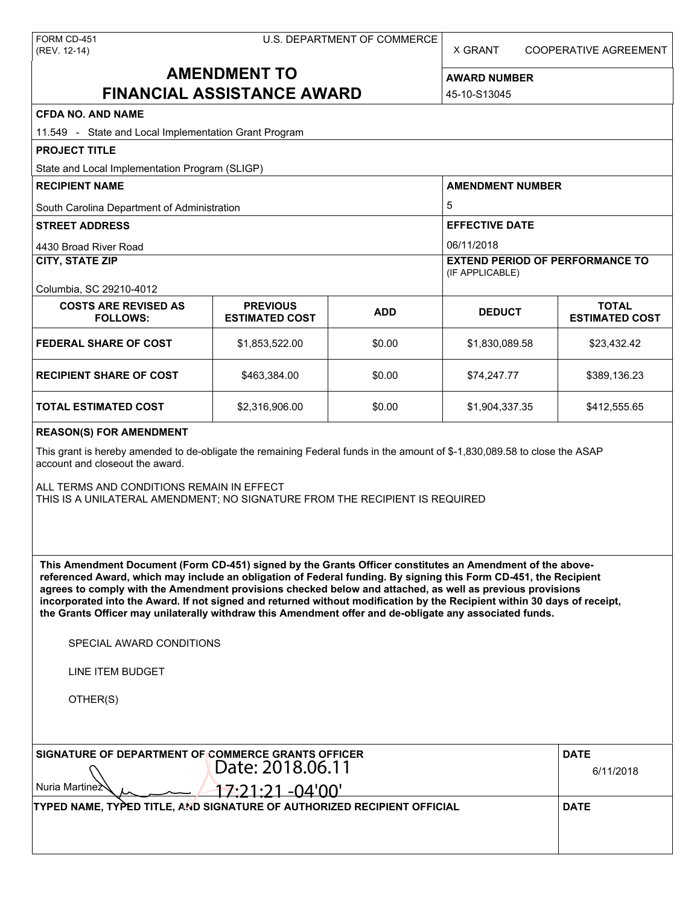| FORM CD-451  |
|--------------|
| (REV. 12-14) |

X GRANT COOPERATIVE AGREEMENT

# **AMENDMENT TO FINANCIAL ASSISTANCE AWARD**

**AWARD NUMBER** 45-10-S13045

| <b>CFDA NO. AND NAME</b>                                                                                                                                                                                                                                                                                                                                                                                                                                                                                                                                                          |                                          |            |                                                           |                                       |  |  |
|-----------------------------------------------------------------------------------------------------------------------------------------------------------------------------------------------------------------------------------------------------------------------------------------------------------------------------------------------------------------------------------------------------------------------------------------------------------------------------------------------------------------------------------------------------------------------------------|------------------------------------------|------------|-----------------------------------------------------------|---------------------------------------|--|--|
| 11.549 - State and Local Implementation Grant Program                                                                                                                                                                                                                                                                                                                                                                                                                                                                                                                             |                                          |            |                                                           |                                       |  |  |
| <b>PROJECT TITLE</b>                                                                                                                                                                                                                                                                                                                                                                                                                                                                                                                                                              |                                          |            |                                                           |                                       |  |  |
| State and Local Implementation Program (SLIGP)                                                                                                                                                                                                                                                                                                                                                                                                                                                                                                                                    |                                          |            |                                                           |                                       |  |  |
| <b>RECIPIENT NAME</b>                                                                                                                                                                                                                                                                                                                                                                                                                                                                                                                                                             |                                          |            | <b>AMENDMENT NUMBER</b>                                   |                                       |  |  |
| South Carolina Department of Administration                                                                                                                                                                                                                                                                                                                                                                                                                                                                                                                                       |                                          |            | 5                                                         |                                       |  |  |
| <b>STREET ADDRESS</b>                                                                                                                                                                                                                                                                                                                                                                                                                                                                                                                                                             |                                          |            | <b>EFFECTIVE DATE</b>                                     |                                       |  |  |
| 4430 Broad River Road                                                                                                                                                                                                                                                                                                                                                                                                                                                                                                                                                             |                                          |            | 06/11/2018                                                |                                       |  |  |
| <b>CITY, STATE ZIP</b>                                                                                                                                                                                                                                                                                                                                                                                                                                                                                                                                                            |                                          |            | <b>EXTEND PERIOD OF PERFORMANCE TO</b><br>(IF APPLICABLE) |                                       |  |  |
| Columbia, SC 29210-4012                                                                                                                                                                                                                                                                                                                                                                                                                                                                                                                                                           |                                          |            |                                                           |                                       |  |  |
| <b>COSTS ARE REVISED AS</b><br><b>FOLLOWS:</b>                                                                                                                                                                                                                                                                                                                                                                                                                                                                                                                                    | <b>PREVIOUS</b><br><b>ESTIMATED COST</b> | <b>ADD</b> | <b>DEDUCT</b>                                             | <b>TOTAL</b><br><b>ESTIMATED COST</b> |  |  |
| <b>FEDERAL SHARE OF COST</b>                                                                                                                                                                                                                                                                                                                                                                                                                                                                                                                                                      | \$1,853,522.00                           | \$0.00     | \$1,830,089.58                                            | \$23,432.42                           |  |  |
| <b>RECIPIENT SHARE OF COST</b>                                                                                                                                                                                                                                                                                                                                                                                                                                                                                                                                                    | \$463.384.00                             | \$0.00     | \$74,247.77                                               | \$389,136.23                          |  |  |
| <b>TOTAL ESTIMATED COST</b>                                                                                                                                                                                                                                                                                                                                                                                                                                                                                                                                                       | \$2,316,906.00                           | \$0.00     | \$1,904,337.35                                            | \$412,555.65                          |  |  |
| <b>REASON(S) FOR AMENDMENT</b>                                                                                                                                                                                                                                                                                                                                                                                                                                                                                                                                                    |                                          |            |                                                           |                                       |  |  |
| This grant is hereby amended to de-obligate the remaining Federal funds in the amount of \$-1,830,089.58 to close the ASAP<br>account and closeout the award.<br>ALL TERMS AND CONDITIONS REMAIN IN EFFECT<br>THIS IS A UNILATERAL AMENDMENT; NO SIGNATURE FROM THE RECIPIENT IS REQUIRED                                                                                                                                                                                                                                                                                         |                                          |            |                                                           |                                       |  |  |
| This Amendment Document (Form CD-451) signed by the Grants Officer constitutes an Amendment of the above-<br>referenced Award, which may include an obligation of Federal funding. By signing this Form CD-451, the Recipient<br>agrees to comply with the Amendment provisions checked below and attached, as well as previous provisions<br>incorporated into the Award. If not signed and returned without modification by the Recipient within 30 days of receipt,<br>the Grants Officer may unilaterally withdraw this Amendment offer and de-obligate any associated funds. |                                          |            |                                                           |                                       |  |  |
| SPECIAL AWARD CONDITIONS                                                                                                                                                                                                                                                                                                                                                                                                                                                                                                                                                          |                                          |            |                                                           |                                       |  |  |
| LINE ITEM BUDGET                                                                                                                                                                                                                                                                                                                                                                                                                                                                                                                                                                  |                                          |            |                                                           |                                       |  |  |
| OTHER(S)                                                                                                                                                                                                                                                                                                                                                                                                                                                                                                                                                                          |                                          |            |                                                           |                                       |  |  |
| SIGNATURE OF DEPARTMENT OF COMMERCE GRANTS OFFICER                                                                                                                                                                                                                                                                                                                                                                                                                                                                                                                                |                                          |            |                                                           | <b>DATE</b>                           |  |  |
| Date: 2018.06.11                                                                                                                                                                                                                                                                                                                                                                                                                                                                                                                                                                  |                                          |            |                                                           | 6/11/2018                             |  |  |
| Nuria Martinez                                                                                                                                                                                                                                                                                                                                                                                                                                                                                                                                                                    | <u>17:21:21 -04'00'</u>                  |            |                                                           |                                       |  |  |
| TYPED NAME, TYPED TITLE, AND SIGNATURE OF AUTHORIZED RECIPIENT OFFICIAL                                                                                                                                                                                                                                                                                                                                                                                                                                                                                                           |                                          |            |                                                           | <b>DATE</b>                           |  |  |